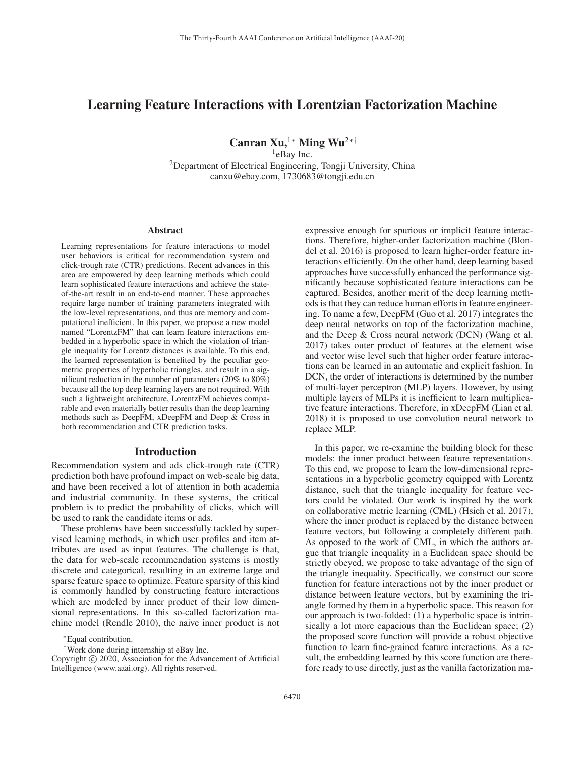# Learning Feature Interactions with Lorentzian Factorization Machine

Canran Xu,<sup>1</sup>\* Ming Wu<sup>2</sup> <sup>\*†</sup>

<sup>1</sup>eBay Inc.

2Department of Electrical Engineering, Tongji University, China canxu@ebay.com, 1730683@tongji.edu.cn

#### Abstract

Learning representations for feature interactions to model user behaviors is critical for recommendation system and click-trough rate (CTR) predictions. Recent advances in this area are empowered by deep learning methods which could learn sophisticated feature interactions and achieve the stateof-the-art result in an end-to-end manner. These approaches require large number of training parameters integrated with the low-level representations, and thus are memory and computational inefficient. In this paper, we propose a new model named "LorentzFM" that can learn feature interactions embedded in a hyperbolic space in which the violation of triangle inequality for Lorentz distances is available. To this end, the learned representation is benefited by the peculiar geometric properties of hyperbolic triangles, and result in a significant reduction in the number of parameters (20% to 80%) because all the top deep learning layers are not required. With such a lightweight architecture, LorentzFM achieves comparable and even materially better results than the deep learning methods such as DeepFM, xDeepFM and Deep & Cross in both recommendation and CTR prediction tasks.

#### Introduction

Recommendation system and ads click-trough rate (CTR) prediction both have profound impact on web-scale big data, and have been received a lot of attention in both academia and industrial community. In these systems, the critical problem is to predict the probability of clicks, which will be used to rank the candidate items or ads.

These problems have been successfully tackled by supervised learning methods, in which user profiles and item attributes are used as input features. The challenge is that, the data for web-scale recommendation systems is mostly discrete and categorical, resulting in an extreme large and sparse feature space to optimize. Feature sparsity of this kind is commonly handled by constructing feature interactions which are modeled by inner product of their low dimensional representations. In this so-called factorization machine model (Rendle 2010), the naive inner product is not expressive enough for spurious or implicit feature interactions. Therefore, higher-order factorization machine (Blondel et al. 2016) is proposed to learn higher-order feature interactions efficiently. On the other hand, deep learning based approaches have successfully enhanced the performance significantly because sophisticated feature interactions can be captured. Besides, another merit of the deep learning methods is that they can reduce human efforts in feature engineering. To name a few, DeepFM (Guo et al. 2017) integrates the deep neural networks on top of the factorization machine, and the Deep & Cross neural network (DCN) (Wang et al. 2017) takes outer product of features at the element wise and vector wise level such that higher order feature interactions can be learned in an automatic and explicit fashion. In DCN, the order of interactions is determined by the number of multi-layer perceptron (MLP) layers. However, by using multiple layers of MLPs it is inefficient to learn multiplicative feature interactions. Therefore, in xDeepFM (Lian et al. 2018) it is proposed to use convolution neural network to replace MLP.

In this paper, we re-examine the building block for these models: the inner product between feature representations. To this end, we propose to learn the low-dimensional representations in a hyperbolic geometry equipped with Lorentz distance, such that the triangle inequality for feature vectors could be violated. Our work is inspired by the work on collaborative metric learning (CML) (Hsieh et al. 2017), where the inner product is replaced by the distance between feature vectors, but following a completely different path. As opposed to the work of CML, in which the authors argue that triangle inequality in a Euclidean space should be strictly obeyed, we propose to take advantage of the sign of the triangle inequality. Specifically, we construct our score function for feature interactions not by the inner product or distance between feature vectors, but by examining the triangle formed by them in a hyperbolic space. This reason for our approach is two-folded: (1) a hyperbolic space is intrinsically a lot more capacious than the Euclidean space; (2) the proposed score function will provide a robust objective function to learn fine-grained feature interactions. As a result, the embedding learned by this score function are therefore ready to use directly, just as the vanilla factorization ma-

<sup>∗</sup>Equal contribution.

<sup>†</sup>Work done during internship at eBay Inc.

Copyright  $\odot$  2020, Association for the Advancement of Artificial Intelligence (www.aaai.org). All rights reserved.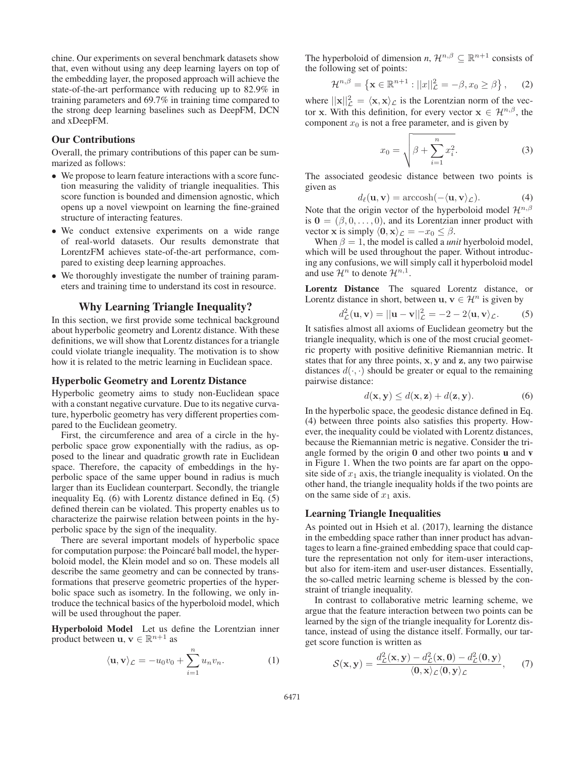chine. Our experiments on several benchmark datasets show that, even without using any deep learning layers on top of the embedding layer, the proposed approach will achieve the state-of-the-art performance with reducing up to 82.9% in training parameters and 69.7% in training time compared to the strong deep learning baselines such as DeepFM, DCN and xDeepFM.

### Our Contributions

Overall, the primary contributions of this paper can be summarized as follows:

- We propose to learn feature interactions with a score function measuring the validity of triangle inequalities. This score function is bounded and dimension agnostic, which opens up a novel viewpoint on learning the fine-grained structure of interacting features.
- We conduct extensive experiments on a wide range of real-world datasets. Our results demonstrate that LorentzFM achieves state-of-the-art performance, compared to existing deep learning approaches.
- We thoroughly investigate the number of training parameters and training time to understand its cost in resource.

#### Why Learning Triangle Inequality?

In this section, we first provide some technical background about hyperbolic geometry and Lorentz distance. With these definitions, we will show that Lorentz distances for a triangle could violate triangle inequality. The motivation is to show how it is related to the metric learning in Euclidean space.

#### Hyperbolic Geometry and Lorentz Distance

Hyperbolic geometry aims to study non-Euclidean space with a constant negative curvature. Due to its negative curvature, hyperbolic geometry has very different properties compared to the Euclidean geometry.

First, the circumference and area of a circle in the hyperbolic space grow exponentially with the radius, as opposed to the linear and quadratic growth rate in Euclidean space. Therefore, the capacity of embeddings in the hyperbolic space of the same upper bound in radius is much larger than its Euclidean counterpart. Secondly, the triangle inequality Eq. (6) with Lorentz distance defined in Eq. (5) defined therein can be violated. This property enables us to characterize the pairwise relation between points in the hyperbolic space by the sign of the inequality.

There are several important models of hyperbolic space for computation purpose: the Poincaré ball model, the hyperboloid model, the Klein model and so on. These models all describe the same geometry and can be connected by transformations that preserve geometric properties of the hyperbolic space such as isometry. In the following, we only introduce the technical basics of the hyperboloid model, which will be used throughout the paper.

Hyperboloid Model Let us define the Lorentzian inner product between **u**,  $\mathbf{v} \in \mathbb{R}^{n+1}$  as

$$
\langle \mathbf{u}, \mathbf{v} \rangle_{\mathcal{L}} = -u_0 v_0 + \sum_{i=1}^n u_n v_n.
$$
 (1)

The hyperboloid of dimension *n*,  $\mathcal{H}^{n,\beta} \subseteq \mathbb{R}^{n+1}$  consists of the following set of points:

$$
\mathcal{H}^{n,\beta} = \left\{ \mathbf{x} \in \mathbb{R}^{n+1} : ||x||_{\mathcal{L}}^2 = -\beta, x_0 \ge \beta \right\},\qquad(2)
$$

where  $||\mathbf{x}||_L^2 = \langle \mathbf{x}, \mathbf{x} \rangle_L$  is the Lorentzian norm of the vector **x**. With this definition, for every vector  $\mathbf{x} \in \mathcal{H}^{n,\beta}$ , the component  $x_0$  is not a free parameter, and is given by

$$
x_0 = \sqrt{\beta + \sum_{i=1}^{n} x_i^2}.
$$
 (3)

The associated geodesic distance between two points is given as

$$
d_{\ell}(\mathbf{u}, \mathbf{v}) = \operatorname{arccosh}(-\langle \mathbf{u}, \mathbf{v} \rangle_{\mathcal{L}}). \tag{4}
$$

Note that the origin vector of the hyperboloid model  $\mathcal{H}^{n,\beta}$ is  $\mathbf{0} = (\beta, 0, \dots, 0)$ , and its Lorentzian inner product with vector **x** is simply  $\langle 0, \mathbf{x} \rangle_{\mathcal{L}} = -x_0 \leq \beta$ .

When  $\beta = 1$ , the model is called a *unit* hyerboloid model, which will be used throughout the paper. Without introducing any confusions, we will simply call it hyperboloid model and use  $\mathcal{H}^n$  to denote  $\mathcal{H}^{n,1}$ .

Lorentz Distance The squared Lorentz distance, or Lorentz distance in short, between **u**,  $\mathbf{v} \in \mathcal{H}^n$  is given by

$$
d_{\mathcal{L}}^2(\mathbf{u}, \mathbf{v}) = ||\mathbf{u} - \mathbf{v}||_{\mathcal{L}}^2 = -2 - 2\langle \mathbf{u}, \mathbf{v} \rangle_{\mathcal{L}}.
$$
 (5)

It satisfies almost all axioms of Euclidean geometry but the triangle inequality, which is one of the most crucial geometric property with positive definitive Riemannian metric. It states that for any three points, **x**, **y** and **z**, any two pairwise distances  $d(\cdot, \cdot)$  should be greater or equal to the remaining pairwise distance:

$$
d(\mathbf{x}, \mathbf{y}) \le d(\mathbf{x}, \mathbf{z}) + d(\mathbf{z}, \mathbf{y}).\tag{6}
$$

In the hyperbolic space, the geodesic distance defined in Eq. (4) between three points also satisfies this property. However, the inequality could be violated with Lorentz distances, because the Riemannian metric is negative. Consider the triangle formed by the origin **0** and other two points u and v in Figure 1. When the two points are far apart on the opposite side of  $x_1$  axis, the triangle inequality is violated. On the other hand, the triangle inequality holds if the two points are on the same side of  $x_1$  axis.

#### Learning Triangle Inequalities

As pointed out in Hsieh et al. (2017), learning the distance in the embedding space rather than inner product has advantages to learn a fine-grained embedding space that could capture the representation not only for item-user interactions, but also for item-item and user-user distances. Essentially, the so-called metric learning scheme is blessed by the constraint of triangle inequality.

In contrast to collaborative metric learning scheme, we argue that the feature interaction between two points can be learned by the sign of the triangle inequality for Lorentz distance, instead of using the distance itself. Formally, our target score function is written as

$$
\mathcal{S}(\mathbf{x}, \mathbf{y}) = \frac{d_{\mathcal{L}}^2(\mathbf{x}, \mathbf{y}) - d_{\mathcal{L}}^2(\mathbf{x}, \mathbf{0}) - d_{\mathcal{L}}^2(\mathbf{0}, \mathbf{y})}{\langle \mathbf{0}, \mathbf{x} \rangle_{\mathcal{L}} \langle \mathbf{0}, \mathbf{y} \rangle_{\mathcal{L}}}, \qquad (7)
$$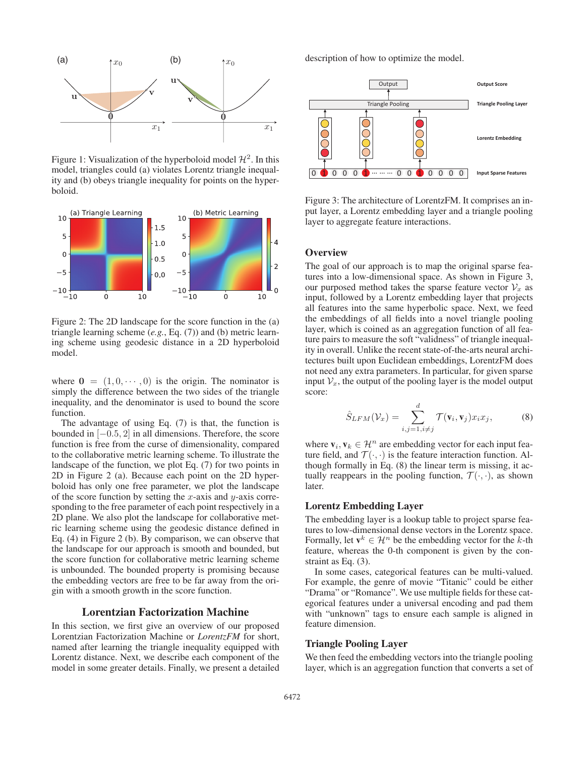

Figure 1: Visualization of the hyperboloid model  $\mathcal{H}^2$ . In this model, triangles could (a) violates Lorentz triangle inequality and (b) obeys triangle inequality for points on the hyperboloid.



Figure 2: The 2D landscape for the score function in the (a) triangle learning scheme (*e.g.*, Eq. (7)) and (b) metric learning scheme using geodesic distance in a 2D hyperboloid model.

where  $\mathbf{0} = (1, 0, \dots, 0)$  is the origin. The nominator is simply the difference between the two sides of the triangle inequality, and the denominator is used to bound the score function.

The advantage of using Eq. (7) is that, the function is bounded in [−0.5, 2] in all dimensions. Therefore, the score function is free from the curse of dimensionality, compared to the collaborative metric learning scheme. To illustrate the landscape of the function, we plot Eq. (7) for two points in 2D in Figure 2 (a). Because each point on the 2D hyperboloid has only one free parameter, we plot the landscape of the score function by setting the x-axis and y-axis corresponding to the free parameter of each point respectively in a 2D plane. We also plot the landscape for collaborative metric learning scheme using the geodesic distance defined in Eq. (4) in Figure 2 (b). By comparison, we can observe that the landscape for our approach is smooth and bounded, but the score function for collaborative metric learning scheme is unbounded. The bounded property is promising because the embedding vectors are free to be far away from the origin with a smooth growth in the score function.

# Lorentzian Factorization Machine

In this section, we first give an overview of our proposed Lorentzian Factorization Machine or *LorentzFM* for short, named after learning the triangle inequality equipped with Lorentz distance. Next, we describe each component of the model in some greater details. Finally, we present a detailed

description of how to optimize the model.



Figure 3: The architecture of LorentzFM. It comprises an input layer, a Lorentz embedding layer and a triangle pooling layer to aggregate feature interactions.

# **Overview**

The goal of our approach is to map the original sparse features into a low-dimensional space. As shown in Figure 3, our purposed method takes the sparse feature vector  $\mathcal{V}_x$  as input, followed by a Lorentz embedding layer that projects all features into the same hyperbolic space. Next, we feed the embeddings of all fields into a novel triangle pooling layer, which is coined as an aggregation function of all feature pairs to measure the soft "validness" of triangle inequality in overall. Unlike the recent state-of-the-arts neural architectures built upon Euclidean embeddings, LorentzFM does not need any extra parameters. In particular, for given sparse input  $V_x$ , the output of the pooling layer is the model output score:

$$
\hat{S}_{LFM}(\mathcal{V}_x) = \sum_{i,j=1, i \neq j}^{d} \mathcal{T}(\mathbf{v}_i, \mathbf{v}_j) x_i x_j,
$$
 (8)

where  $\mathbf{v}_i, \mathbf{v}_k \in \mathcal{H}^n$  are embedding vector for each input feature field, and  $\mathcal{T}(\cdot, \cdot)$  is the feature interaction function. Although formally in Eq. (8) the linear term is missing, it actually reappears in the pooling function,  $\mathcal{T}(\cdot, \cdot)$ , as shown later.

### Lorentz Embedding Layer

The embedding layer is a lookup table to project sparse features to low-dimensional dense vectors in the Lorentz space. Formally, let  $\mathbf{v}^k \in \mathcal{H}^n$  be the embedding vector for the k-th feature, whereas the 0-th component is given by the constraint as Eq. (3).

In some cases, categorical features can be multi-valued. For example, the genre of movie "Titanic" could be either "Drama" or "Romance". We use multiple fields for these categorical features under a universal encoding and pad them with "unknown" tags to ensure each sample is aligned in feature dimension.

### Triangle Pooling Layer

We then feed the embedding vectors into the triangle pooling layer, which is an aggregation function that converts a set of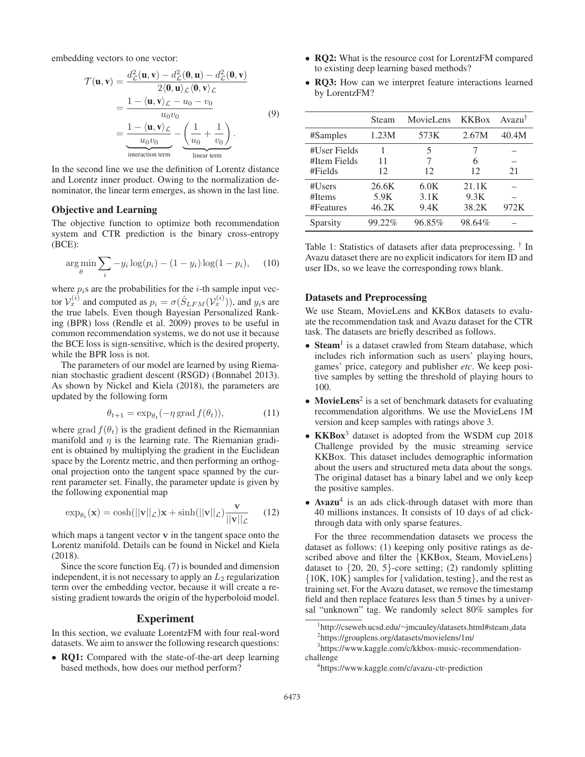embedding vectors to one vector:

$$
\mathcal{T}(\mathbf{u}, \mathbf{v}) = \frac{d_{\mathcal{L}}^2(\mathbf{u}, \mathbf{v}) - d_{\mathcal{L}}^2(\mathbf{0}, \mathbf{u}) - d_{\mathcal{L}}^2(\mathbf{0}, \mathbf{v})}{2 \langle \mathbf{0}, \mathbf{u} \rangle_{\mathcal{L}} \langle \mathbf{0}, \mathbf{v} \rangle_{\mathcal{L}}}
$$
  
= 
$$
\frac{1 - \langle \mathbf{u}, \mathbf{v} \rangle_{\mathcal{L}} - u_0 - v_0}{u_0 v_0}
$$
(9)  
= 
$$
\frac{1 - \langle \mathbf{u}, \mathbf{v} \rangle_{\mathcal{L}}}{u_0 v_0} - \underbrace{\left(\frac{1}{u_0} + \frac{1}{v_0}\right)}_{\text{linear term}}.
$$

In the second line we use the definition of Lorentz distance and Lorentz inner product. Owing to the normalization denominator, the linear term emerges, as shown in the last line.

# Objective and Learning

The objective function to optimize both recommendation system and CTR prediction is the binary cross-entropy (BCE):

$$
\arg\min_{\theta} \sum_{i} -y_i \log(p_i) - (1 - y_i) \log(1 - p_i), \quad (10)
$$

where  $p_i$ s are the probabilities for the *i*-th sample input vector  $\mathcal{V}_x^{(i)}$  and computed as  $p_i = \sigma(\hat{S}_{LFM}(\mathcal{V}_x^{(i)}))$ , and  $y_i$ s are the true labels. Even though Bayesian Personalized Ranking (BPR) loss (Rendle et al. 2009) proves to be useful in common recommendation systems, we do not use it because the BCE loss is sign-sensitive, which is the desired property, while the BPR loss is not.

The parameters of our model are learned by using Riemanian stochastic gradient descent (RSGD) (Bonnabel 2013). As shown by Nickel and Kiela (2018), the parameters are updated by the following form

$$
\theta_{t+1} = \exp_{\theta_t}(-\eta \operatorname{grad} f(\theta_t)),\tag{11}
$$

where grad  $f(\theta_t)$  is the gradient defined in the Riemannian manifold and  $\eta$  is the learning rate. The Riemanian gradient is obtained by multiplying the gradient in the Euclidean space by the Lorentz metric, and then performing an orthogonal projection onto the tangent space spanned by the current parameter set. Finally, the parameter update is given by the following exponential map

$$
\exp_{\theta_t}(\mathbf{x}) = \cosh(||\mathbf{v}||_{\mathcal{L}})\mathbf{x} + \sinh(||\mathbf{v}||_{\mathcal{L}})\frac{\mathbf{v}}{||\mathbf{v}||_{\mathcal{L}}}
$$
(12)

which maps a tangent vector **v** in the tangent space onto the Lorentz manifold. Details can be found in Nickel and Kiela (2018).

Since the score function Eq. (7) is bounded and dimension independent, it is not necessary to apply an  $L_2$  regularization term over the embedding vector, because it will create a resisting gradient towards the origin of the hyperboloid model.

### Experiment

In this section, we evaluate LorentzFM with four real-word datasets. We aim to answer the following research questions:

• RQ1: Compared with the state-of-the-art deep learning based methods, how does our method perform?

- RO2: What is the resource cost for LorentzFM compared to existing deep learning based methods?
- RQ3: How can we interpret feature interactions learned by LorentzFM?

|              | Steam  | MovieLens | <b>KKB</b> <sub>ox</sub> | $Avaru^{\dagger}$ |
|--------------|--------|-----------|--------------------------|-------------------|
| #Samples     | 1.23M  | 573K      | 2.67M                    | 40.4M             |
| #User Fields |        | 5         |                          |                   |
| #Item Fields | 11     | 7         | 6                        |                   |
| #Fields      | 12     | 12        | 12                       | 21                |
| #Users       | 26.6K  | 6.0K      | 21.1K                    |                   |
| #Items       | 5.9K   | 3.1K      | 9.3K                     |                   |
| #Features    | 46.2K  | 9.4K      | 38.2K                    | 972K              |
| Sparsity     | 99.22% | 96.85%    | 98.64%                   |                   |

Table 1: Statistics of datasets after data preprocessing. † In Avazu dataset there are no explicit indicators for item ID and user IDs, so we leave the corresponding rows blank.

#### Datasets and Preprocessing

We use Steam, MovieLens and KKBox datasets to evaluate the recommendation task and Avazu dataset for the CTR task. The datasets are briefly described as follows.

- Steam<sup>1</sup> is a dataset crawled from Steam database, which includes rich information such as users' playing hours, games' price, category and publisher *etc*. We keep positive samples by setting the threshold of playing hours to 100.
- MovieLens<sup>2</sup> is a set of benchmark datasets for evaluating recommendation algorithms. We use the MovieLens 1M version and keep samples with ratings above 3.
- KKBox<sup>3</sup> dataset is adopted from the WSDM cup 2018 Challenge provided by the music streaming service KKBox. This dataset includes demographic information about the users and structured meta data about the songs. The original dataset has a binary label and we only keep the positive samples.
- Avazu<sup>4</sup> is an ads click-through dataset with more than 40 millions instances. It consists of 10 days of ad clickthrough data with only sparse features.

For the three recommendation datasets we process the dataset as follows: (1) keeping only positive ratings as described above and filter the {KKBox, Steam, MovieLens} dataset to  $\{20, 20, 5\}$ -core setting; (2) randomly splitting {10K, 10K} samples for {validation, testing}, and the rest as training set. For the Avazu dataset, we remove the timestamp field and then replace features less than 5 times by a universal "unknown" tag. We randomly select 80% samples for

<sup>1</sup> http://cseweb.ucsd.edu/∼jmcauley/datasets.html#steam data

<sup>2</sup> https://grouplens.org/datasets/movielens/1m/

<sup>3</sup> https://www.kaggle.com/c/kkbox-music-recommendationchallenge

<sup>4</sup> https://www.kaggle.com/c/avazu-ctr-prediction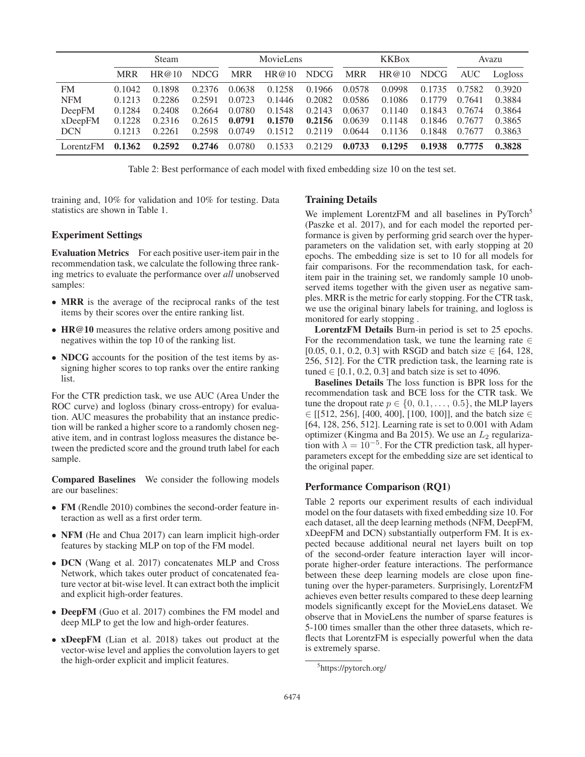|            | <b>Steam</b> |        | MovieLens   |            |        | <b>KKBox</b> |            |        | Avazu       |            |         |
|------------|--------------|--------|-------------|------------|--------|--------------|------------|--------|-------------|------------|---------|
|            | <b>MRR</b>   | HR@10  | <b>NDCG</b> | <b>MRR</b> | HR@10  | <b>NDCG</b>  | <b>MRR</b> | HR@10  | <b>NDCG</b> | <b>AUC</b> | Logloss |
| FM         | 0.1042       | 0.1898 | 0.2376      | 0.0638     | 0.1258 | 0.1966       | 0.0578     | 0.0998 | 0.1735      | 0.7582     | 0.3920  |
| <b>NFM</b> | 0.1213       | 0.2286 | 0.2591      | 0.0723     | 0.1446 | 0.2082       | 0.0586     | 0.1086 | 0.1779      | 0.7641     | 0.3884  |
| DeepFM     | 0.1284       | 0.2408 | 0.2664      | 0.0780     | 0.1548 | 0.2143       | 0.0637     | 0.1140 | 0.1843      | 0.7674     | 0.3864  |
| xDeepFM    | 0.1228       | 0.2316 | 0.2615      | 0.0791     | 0.1570 | 0.2156       | 0.0639     | 0.1148 | 0.1846      | 0.7677     | 0.3865  |
| <b>DCN</b> | 0.1213       | 0.2261 | 0.2598      | 0.0749     | 0.1512 | 0.2119       | 0.0644     | 0.1136 | 0.1848      | 0.7677     | 0.3863  |
| LorentzFM  | 0.1362       | 0.2592 | 0.2746      | 0.0780     | 0.1533 | 0.2129       | 0.0733     | 0.1295 | 0.1938      | 0.7775     | 0.3828  |

Table 2: Best performance of each model with fixed embedding size 10 on the test set.

training and, 10% for validation and 10% for testing. Data statistics are shown in Table 1.

#### Experiment Settings

Evaluation Metrics For each positive user-item pair in the recommendation task, we calculate the following three ranking metrics to evaluate the performance over *all* unobserved samples:

- MRR is the average of the reciprocal ranks of the test items by their scores over the entire ranking list.
- HR@10 measures the relative orders among positive and negatives within the top 10 of the ranking list.
- NDCG accounts for the position of the test items by assigning higher scores to top ranks over the entire ranking list.

For the CTR prediction task, we use AUC (Area Under the ROC curve) and logloss (binary cross-entropy) for evaluation. AUC measures the probability that an instance prediction will be ranked a higher score to a randomly chosen negative item, and in contrast logloss measures the distance between the predicted score and the ground truth label for each sample.

Compared Baselines We consider the following models are our baselines:

- FM (Rendle 2010) combines the second-order feature interaction as well as a first order term.
- NFM (He and Chua 2017) can learn implicit high-order features by stacking MLP on top of the FM model.
- DCN (Wang et al. 2017) concatenates MLP and Cross Network, which takes outer product of concatenated feature vector at bit-wise level. It can extract both the implicit and explicit high-order features.
- **DeepFM** (Guo et al. 2017) combines the FM model and deep MLP to get the low and high-order features.
- xDeepFM (Lian et al. 2018) takes out product at the vector-wise level and applies the convolution layers to get the high-order explicit and implicit features.

### Training Details

We implement LorentzFM and all baselines in PyTorch<sup>5</sup> (Paszke et al. 2017), and for each model the reported performance is given by performing grid search over the hyperparameters on the validation set, with early stopping at 20 epochs. The embedding size is set to 10 for all models for fair comparisons. For the recommendation task, for eachitem pair in the training set, we randomly sample 10 unobserved items together with the given user as negative samples. MRR is the metric for early stopping. For the CTR task, we use the original binary labels for training, and logloss is monitored for early stopping .

LorentzFM Details Burn-in period is set to 25 epochs. For the recommendation task, we tune the learning rate  $\in$ [0.05, 0.1, 0.2, 0.3] with RSGD and batch size  $\in$  [64, 128, 256, 512]. For the CTR prediction task, the learning rate is tuned  $\in [0.1, 0.2, 0.3]$  and batch size is set to 4096.

Baselines Details The loss function is BPR loss for the recommendation task and BCE loss for the CTR task. We tune the dropout rate  $p \in \{0, 0.1, \ldots, 0.5\}$ , the MLP layers  $\in$  [[512, 256], [400, 400], [100, 100]], and the batch size  $\in$ [64, 128, 256, 512]. Learning rate is set to 0.001 with Adam optimizer (Kingma and Ba 2015). We use an  $L_2$  regularization with  $\lambda = 10^{-5}$ . For the CTR prediction task, all hyperparameters except for the embedding size are set identical to the original paper.

#### Performance Comparison (RQ1)

Table 2 reports our experiment results of each individual model on the four datasets with fixed embedding size 10. For each dataset, all the deep learning methods (NFM, DeepFM, xDeepFM and DCN) substantially outperform FM. It is expected because additional neural net layers built on top of the second-order feature interaction layer will incorporate higher-order feature interactions. The performance between these deep learning models are close upon finetuning over the hyper-parameters. Surprisingly, LorentzFM achieves even better results compared to these deep learning models significantly except for the MovieLens dataset. We observe that in MovieLens the number of sparse features is 5-100 times smaller than the other three datasets, which reflects that LorentzFM is especially powerful when the data is extremely sparse.

<sup>5</sup> https://pytorch.org/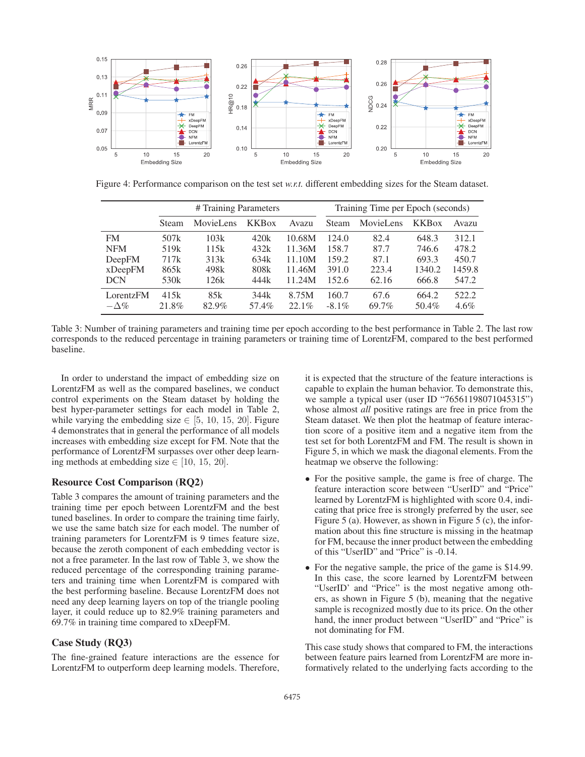

Figure 4: Performance comparison on the test set *w.r.t.* different embedding sizes for the Steam dataset.

|             | # Training Parameters |                  |                          |          | Training Time per Epoch (seconds) |           |                          |         |
|-------------|-----------------------|------------------|--------------------------|----------|-----------------------------------|-----------|--------------------------|---------|
|             | Steam                 | <b>MovieLens</b> | <b>KKB</b> <sub>ox</sub> | Avazu    | <b>Steam</b>                      | MovieLens | <b>KKB</b> <sub>ox</sub> | Avazu   |
| <b>FM</b>   | 507 <sub>k</sub>      | 103k             | 420k                     | 10.68M   | 124.0                             | 82.4      | 648.3                    | 312.1   |
| <b>NFM</b>  | 519k                  | 115k             | 432k                     | 11.36M   | 158.7                             | 87.7      | 746.6                    | 478.2   |
| DeepFM      | 717k                  | 313k             | 634k                     | 11.10M   | 159.2                             | 87.1      | 693.3                    | 450.7   |
| xDeepFM     | 865k                  | 498k             | 808k                     | 11.46M   | 391.0                             | 223.4     | 1340.2                   | 1459.8  |
| <b>DCN</b>  | 530 <sub>k</sub>      | 126k             | 444k                     | 11.24M   | 152.6                             | 62.16     | 666.8                    | 547.2   |
| LorentzFM   | 415k                  | 85k              | 344k                     | 8.75M    | 160.7                             | 67.6      | 664.2                    | 522.2   |
| $-\Delta\%$ | 21.8%                 | 82.9%            | 57.4%                    | $22.1\%$ | $-8.1\%$                          | 69.7%     | 50.4%                    | $4.6\%$ |

Table 3: Number of training parameters and training time per epoch according to the best performance in Table 2. The last row corresponds to the reduced percentage in training parameters or training time of LorentzFM, compared to the best performed baseline.

In order to understand the impact of embedding size on LorentzFM as well as the compared baselines, we conduct control experiments on the Steam dataset by holding the best hyper-parameter settings for each model in Table 2, while varying the embedding size  $\in$  [5, 10, 15, 20]. Figure 4 demonstrates that in general the performance of all models increases with embedding size except for FM. Note that the performance of LorentzFM surpasses over other deep learning methods at embedding size  $\in$  [10, 15, 20].

# Resource Cost Comparison (RQ2)

Table 3 compares the amount of training parameters and the training time per epoch between LorentzFM and the best tuned baselines. In order to compare the training time fairly, we use the same batch size for each model. The number of training parameters for LorentzFM is 9 times feature size, because the zeroth component of each embedding vector is not a free parameter. In the last row of Table 3, we show the reduced percentage of the corresponding training parameters and training time when LorentzFM is compared with the best performing baseline. Because LorentzFM does not need any deep learning layers on top of the triangle pooling layer, it could reduce up to 82.9% training parameters and 69.7% in training time compared to xDeepFM.

## Case Study (RQ3)

The fine-grained feature interactions are the essence for LorentzFM to outperform deep learning models. Therefore,

it is expected that the structure of the feature interactions is capable to explain the human behavior. To demonstrate this, we sample a typical user (user ID "76561198071045315") whose almost *all* positive ratings are free in price from the Steam dataset. We then plot the heatmap of feature interaction score of a positive item and a negative item from the test set for both LorentzFM and FM. The result is shown in Figure 5, in which we mask the diagonal elements. From the heatmap we observe the following:

- For the positive sample, the game is free of charge. The feature interaction score between "UserID" and "Price" learned by LorentzFM is highlighted with score 0.4, indicating that price free is strongly preferred by the user, see Figure 5 (a). However, as shown in Figure 5 (c), the information about this fine structure is missing in the heatmap for FM, because the inner product between the embedding of this "UserID" and "Price" is -0.14.
- For the negative sample, the price of the game is \$14.99. In this case, the score learned by LorentzFM between "UserID' and "Price" is the most negative among others, as shown in Figure 5 (b), meaning that the negative sample is recognized mostly due to its price. On the other hand, the inner product between "UserID" and "Price" is not dominating for FM.

This case study shows that compared to FM, the interactions between feature pairs learned from LorentzFM are more informatively related to the underlying facts according to the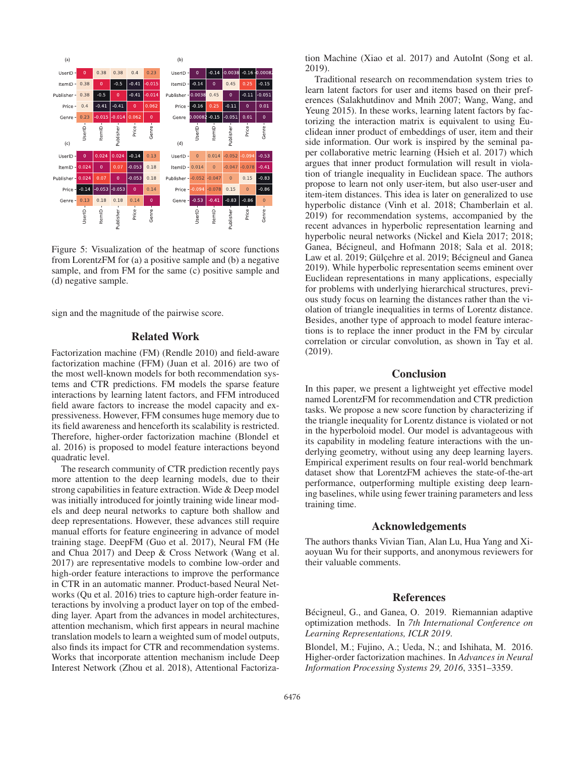

Figure 5: Visualization of the heatmap of score functions from LorentzFM for (a) a positive sample and (b) a negative sample, and from FM for the same (c) positive sample and (d) negative sample.

sign and the magnitude of the pairwise score.

# Related Work

Factorization machine (FM) (Rendle 2010) and field-aware factorization machine (FFM) (Juan et al. 2016) are two of the most well-known models for both recommendation systems and CTR predictions. FM models the sparse feature interactions by learning latent factors, and FFM introduced field aware factors to increase the model capacity and expressiveness. However, FFM consumes huge memory due to its field awareness and henceforth its scalability is restricted. Therefore, higher-order factorization machine (Blondel et al. 2016) is proposed to model feature interactions beyond quadratic level.

The research community of CTR prediction recently pays more attention to the deep learning models, due to their strong capabilities in feature extraction. Wide & Deep model was initially introduced for jointly training wide linear models and deep neural networks to capture both shallow and deep representations. However, these advances still require manual efforts for feature engineering in advance of model training stage. DeepFM (Guo et al. 2017), Neural FM (He and Chua 2017) and Deep & Cross Network (Wang et al. 2017) are representative models to combine low-order and high-order feature interactions to improve the performance in CTR in an automatic manner. Product-based Neural Networks (Qu et al. 2016) tries to capture high-order feature interactions by involving a product layer on top of the embedding layer. Apart from the advances in model architectures, attention mechanism, which first appears in neural machine translation models to learn a weighted sum of model outputs, also finds its impact for CTR and recommendation systems. Works that incorporate attention mechanism include Deep Interest Network (Zhou et al. 2018), Attentional Factorization Machine (Xiao et al. 2017) and AutoInt (Song et al. 2019).

Traditional research on recommendation system tries to learn latent factors for user and items based on their preferences (Salakhutdinov and Mnih 2007; Wang, Wang, and Yeung 2015). In these works, learning latent factors by factorizing the interaction matrix is equivalent to using Euclidean inner product of embeddings of user, item and their side information. Our work is inspired by the seminal paper collaborative metric learning (Hsieh et al. 2017) which argues that inner product formulation will result in violation of triangle inequality in Euclidean space. The authors propose to learn not only user-item, but also user-user and item-item distances. This idea is later on generalized to use hyperbolic distance (Vinh et al. 2018; Chamberlain et al. 2019) for recommendation systems, accompanied by the recent advances in hyperbolic representation learning and hyperbolic neural networks (Nickel and Kiela 2017; 2018; Ganea, Bécigneul, and Hofmann 2018; Sala et al. 2018; Law et al. 2019; Gülçehre et al. 2019; Bécigneul and Ganea 2019). While hyperbolic representation seems eminent over Euclidean representations in many applications, especially for problems with underlying hierarchical structures, previous study focus on learning the distances rather than the violation of triangle inequalities in terms of Lorentz distance. Besides, another type of approach to model feature interactions is to replace the inner product in the FM by circular correlation or circular convolution, as shown in Tay et al. (2019).

# Conclusion

In this paper, we present a lightweight yet effective model named LorentzFM for recommendation and CTR prediction tasks. We propose a new score function by characterizing if the triangle inequality for Lorentz distance is violated or not in the hyperboloid model. Our model is advantageous with its capability in modeling feature interactions with the underlying geometry, without using any deep learning layers. Empirical experiment results on four real-world benchmark dataset show that LorentzFM achieves the state-of-the-art performance, outperforming multiple existing deep learning baselines, while using fewer training parameters and less training time.

### Acknowledgements

The authors thanks Vivian Tian, Alan Lu, Hua Yang and Xiaoyuan Wu for their supports, and anonymous reviewers for their valuable comments.

### References

Bécigneul, G., and Ganea, O. 2019. Riemannian adaptive optimization methods. In *7th International Conference on Learning Representations, ICLR 2019*.

Blondel, M.; Fujino, A.; Ueda, N.; and Ishihata, M. 2016. Higher-order factorization machines. In *Advances in Neural Information Processing Systems 29, 2016*, 3351–3359.